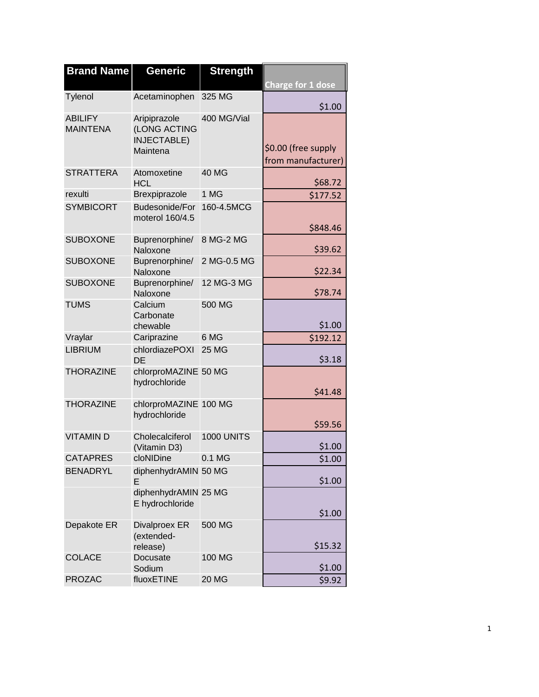| <b>Brand Name</b>                 | Generic                                                        | <b>Strength</b>   | <b>Charge for 1 dose</b>                  |
|-----------------------------------|----------------------------------------------------------------|-------------------|-------------------------------------------|
| Tylenol                           | Acetaminophen                                                  | 325 MG            | \$1.00                                    |
| <b>ABILIFY</b><br><b>MAINTENA</b> | Aripiprazole<br>(LONG ACTING<br><b>INJECTABLE)</b><br>Maintena | 400 MG/Vial       | \$0.00 (free supply<br>from manufacturer) |
| <b>STRATTERA</b>                  | Atomoxetine<br><b>HCL</b>                                      | <b>40 MG</b>      | \$68.72                                   |
| rexulti                           | Brexpiprazole                                                  | 1 MG              | \$177.52                                  |
| <b>SYMBICORT</b>                  | <b>Budesonide/For</b><br>moterol 160/4.5                       | 160-4.5MCG        | \$848.46                                  |
| <b>SUBOXONE</b>                   | Buprenorphine/<br>Naloxone                                     | 8 MG-2 MG         | \$39.62                                   |
| <b>SUBOXONE</b>                   | Buprenorphine/<br>Naloxone                                     | 2 MG-0.5 MG       | \$22.34                                   |
| <b>SUBOXONE</b>                   | Buprenorphine/<br>Naloxone                                     | 12 MG-3 MG        | \$78.74                                   |
| <b>TUMS</b>                       | Calcium<br>Carbonate<br>chewable                               | 500 MG            | \$1.00                                    |
| Vraylar                           | Cariprazine                                                    | 6 MG              | \$192.12                                  |
| <b>LIBRIUM</b>                    | chlordiazePOXI<br>DE                                           | <b>25 MG</b>      | \$3.18                                    |
| <b>THORAZINE</b>                  | chlorproMAZINE 50 MG<br>hydrochloride                          |                   | \$41.48                                   |
| <b>THORAZINE</b>                  | chlorproMAZINE 100 MG<br>hydrochloride                         |                   | \$59.56                                   |
| <b>VITAMIND</b>                   | Cholecalciferol<br>(Vitamin D3)                                | <b>1000 UNITS</b> | \$1.00                                    |
| <b>CATAPRES</b>                   | cloNIDine                                                      | 0.1 MG            | \$1.00                                    |
| <b>BENADRYL</b>                   | diphenhydrAMIN 50 MG<br>E                                      |                   | \$1.00                                    |
|                                   | diphenhydrAMIN 25 MG<br>E hydrochloride                        |                   | \$1.00                                    |
| Depakote ER                       | <b>Divalproex ER</b><br>(extended-<br>release)                 | 500 MG            | \$15.32                                   |
| <b>COLACE</b>                     | Docusate<br>Sodium                                             | 100 MG            | \$1.00                                    |
| <b>PROZAC</b>                     | fluoxETINE                                                     | <b>20 MG</b>      | \$9.92                                    |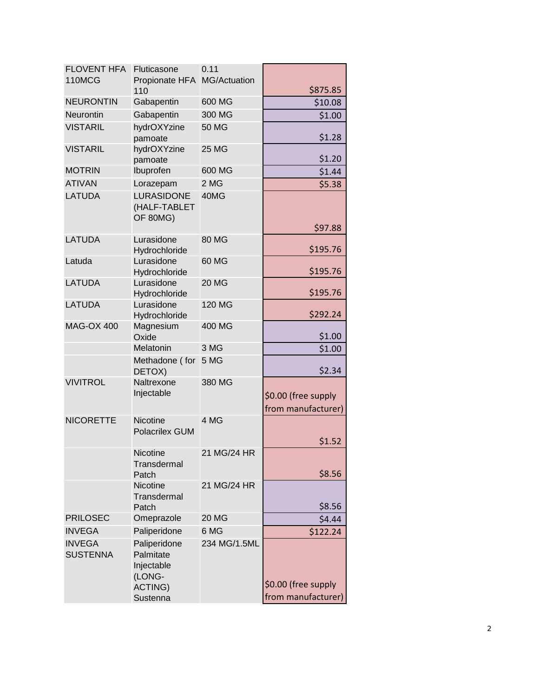| <b>FLOVENT HFA</b>               | Fluticasone                                                                     | 0.11         |                                           |
|----------------------------------|---------------------------------------------------------------------------------|--------------|-------------------------------------------|
| 110MCG                           | Propionate HFA<br>110                                                           | MG/Actuation | \$875.85                                  |
| <b>NEURONTIN</b>                 | Gabapentin                                                                      | 600 MG       | \$10.08                                   |
| Neurontin                        | Gabapentin                                                                      | 300 MG       | \$1.00                                    |
| <b>VISTARIL</b>                  | hydrOXYzine                                                                     | 50 MG        |                                           |
|                                  | pamoate                                                                         |              | \$1.28                                    |
| <b>VISTARIL</b>                  | hydrOXYzine<br>pamoate                                                          | <b>25 MG</b> | \$1.20                                    |
| <b>MOTRIN</b>                    | Ibuprofen                                                                       | 600 MG       | \$1.44                                    |
| <b>ATIVAN</b>                    | Lorazepam                                                                       | 2 MG         | \$5.38                                    |
| <b>LATUDA</b>                    | <b>LURASIDONE</b><br>(HALF-TABLET<br>OF 80MG)                                   | 40MG         | \$97.88                                   |
| <b>LATUDA</b>                    | Lurasidone                                                                      | 80 MG        |                                           |
|                                  | Hydrochloride                                                                   |              | \$195.76                                  |
| Latuda                           | Lurasidone<br>Hydrochloride                                                     | 60 MG        | \$195.76                                  |
| <b>LATUDA</b>                    | Lurasidone                                                                      | <b>20 MG</b> |                                           |
|                                  | Hydrochloride                                                                   |              | \$195.76                                  |
| <b>LATUDA</b>                    | Lurasidone<br>Hydrochloride                                                     | 120 MG       | \$292.24                                  |
| <b>MAG-OX 400</b>                | Magnesium<br>Oxide                                                              | 400 MG       | \$1.00                                    |
|                                  | Melatonin                                                                       | 3 MG         | \$1.00                                    |
|                                  | Methadone (for<br>DETOX)                                                        | 5 MG         | \$2.34                                    |
| <b>VIVITROL</b>                  | Naltrexone                                                                      | 380 MG       |                                           |
|                                  | Injectable                                                                      |              | \$0.00 (free supply                       |
|                                  |                                                                                 |              | from manufacturer)                        |
| <b>NICORETTE</b>                 | Nicotine<br><b>Polacrilex GUM</b>                                               | 4 MG         |                                           |
|                                  |                                                                                 |              | \$1.52                                    |
|                                  | Nicotine<br>Transdermal<br>Patch                                                | 21 MG/24 HR  | \$8.56                                    |
|                                  | Nicotine                                                                        | 21 MG/24 HR  |                                           |
|                                  | Transdermal<br>Patch                                                            |              | \$8.56                                    |
| <b>PRILOSEC</b>                  | Omeprazole                                                                      | <b>20 MG</b> | \$4.44                                    |
| <b>INVEGA</b>                    | Paliperidone                                                                    | 6 MG         | \$122.24                                  |
| <b>INVEGA</b><br><b>SUSTENNA</b> | Paliperidone<br>Palmitate<br>Injectable<br>(LONG-<br><b>ACTING)</b><br>Sustenna | 234 MG/1.5ML | \$0.00 (free supply<br>from manufacturer) |